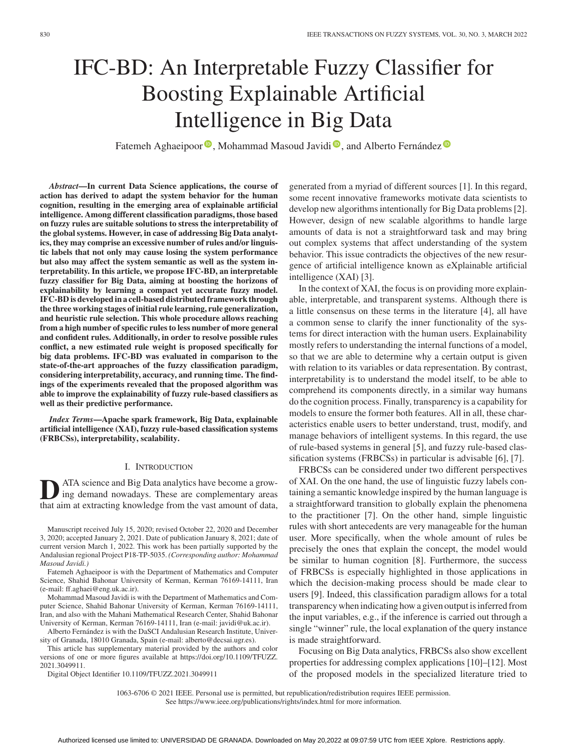# IFC-BD: An Interpretable Fuzzy Classifier for Boosting Explainable Artificial Intelligence in Big Data

Fatemeh Aghaeipoor<sup>®</sup>[,](https://orcid.org/0000-0002-7955-8220) Mohammad Masoud Javidi<sup>®</sup>, and Alberto Fernández<sup>®</sup>

*Abstract***—In current Data Science applications, the course of action has derived to adapt the system behavior for the human cognition, resulting in the emerging area of explainable artificial intelligence. Among different classification paradigms, those based on fuzzy rules are suitable solutions to stress the interpretability of the global systems. However, in case of addressing Big Data analytics, they may comprise an excessive number of rules and/or linguistic labels that not only may cause losing the system performance but also may affect the system semantic as well as the system interpretability. In this article, we propose IFC-BD, an interpretable fuzzy classifier for Big Data, aiming at boosting the horizons of explainability by learning a compact yet accurate fuzzy model. IFC-BD is developed in a cell-based distributed framework through the three working stages of initial rule learning, rule generalization, and heuristic rule selection. This whole procedure allows reaching from a high number of specific rules to less number of more general and confident rules. Additionally, in order to resolve possible rules conflict, a new estimated rule weight is proposed specifically for big data problems. IFC-BD was evaluated in comparison to the state-of-the-art approaches of the fuzzy classification paradigm, considering interpretability, accuracy, and running time. The findings of the experiments revealed that the proposed algorithm was able to improve the explainability of fuzzy rule-based classifiers as well as their predictive performance.**

*Index Terms***—Apache spark framework, Big Data, explainable artificial intelligence (XAI), fuzzy rule-based classification systems (FRBCSs), interpretability, scalability.**

## I. INTRODUCTION

**D**<br> **D**ATA science and Big Data analytics have become a grow-<br>
ing demand nowadays. These are complementary areas that aim at extracting knowledge from the vast amount of data,

Manuscript received July 15, 2020; revised October 22, 2020 and December 3, 2020; accepted January 2, 2021. Date of publication January 8, 2021; date of current version March 1, 2022. This work has been partially supported by the Andalusian regional Project P18-TP-5035. *(Corresponding author: Mohammad Masoud Javidi.)*

Fatemeh Aghaeipoor is with the Department of Mathematics and Computer Science, Shahid Bahonar University of Kerman, Kerman 76169-14111, Iran (e-mail: [ff.aghaei@eng.uk.ac.ir\)](mailto:ff.aghaei@eng.uk.ac.ir).

Mohammad Masoud Javidi is with the Department of Mathematics and Computer Science, Shahid Bahonar University of Kerman, Kerman 76169-14111, Iran, and also with the Mahani Mathematical Research Center, Shahid Bahonar University of Kerman, Kerman 76169-14111, Iran (e-mail: [javidi@uk.ac.ir\)](mailto:javidi@uk.ac.ir).

Alberto Fernández is with the DaSCI Andalusian Research Institute, University of Granada, 18010 Granada, Spain (e-mail: [alberto@decsai.ugr.es\)](mailto:alberto@decsai.ugr.es).

This article has supplementary material provided by the authors and color [versions of one or more figures available at https://doi.org/10.1109/TFUZZ.](https://doi.org/10.1109/TFUZZ.2021.3049911) 2021.3049911.

Digital Object Identifier 10.1109/TFUZZ.2021.3049911

generated from a myriad of different sources [1]. In this regard, some recent innovative frameworks motivate data scientists to develop new algorithms intentionally for Big Data problems [2]. However, design of new scalable algorithms to handle large amounts of data is not a straightforward task and may bring out complex systems that affect understanding of the system behavior. This issue contradicts the objectives of the new resurgence of artificial intelligence known as eXplainable artificial intelligence (XAI) [3].

In the context of XAI, the focus is on providing more explainable, interpretable, and transparent systems. Although there is a little consensus on these terms in the literature [4], all have a common sense to clarify the inner functionality of the systems for direct interaction with the human users. Explainability mostly refers to understanding the internal functions of a model, so that we are able to determine why a certain output is given with relation to its variables or data representation. By contrast, interpretability is to understand the model itself, to be able to comprehend its components directly, in a similar way humans do the cognition process. Finally, transparency is a capability for models to ensure the former both features. All in all, these characteristics enable users to better understand, trust, modify, and manage behaviors of intelligent systems. In this regard, the use of rule-based systems in general [5], and fuzzy rule-based classification systems (FRBCSs) in particular is advisable [6], [7].

FRBCSs can be considered under two different perspectives of XAI. On the one hand, the use of linguistic fuzzy labels containing a semantic knowledge inspired by the human language is a straightforward transition to globally explain the phenomena to the practitioner [7]. On the other hand, simple linguistic rules with short antecedents are very manageable for the human user. More specifically, when the whole amount of rules be precisely the ones that explain the concept, the model would be similar to human cognition [8]. Furthermore, the success of FRBCSs is especially highlighted in those applications in which the decision-making process should be made clear to users [9]. Indeed, this classification paradigm allows for a total transparency when indicating how a given output is inferred from the input variables, e.g., if the inference is carried out through a single "winner" rule, the local explanation of the query instance is made straightforward.

Focusing on Big Data analytics, FRBCSs also show excellent properties for addressing complex applications [10]–[12]. Most of the proposed models in the specialized literature tried to

1063-6706 © 2021 IEEE. Personal use is permitted, but republication/redistribution requires IEEE permission.

See https://www.ieee.org/publications/rights/index.html for more information.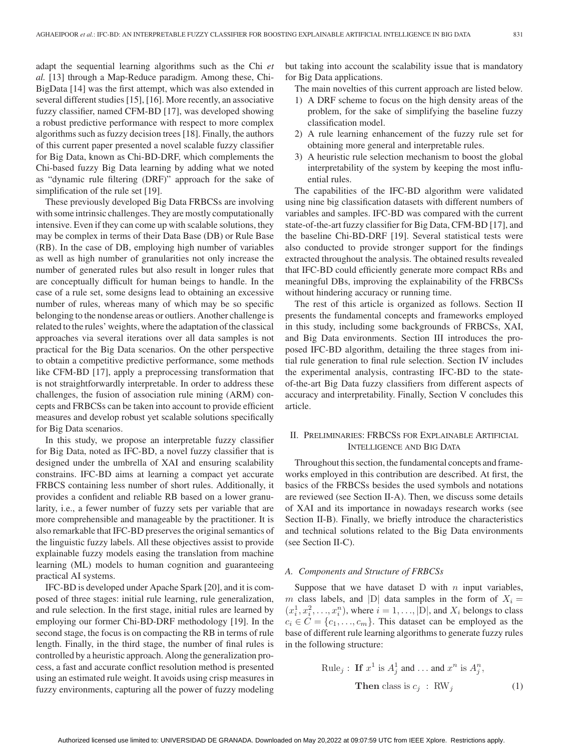adapt the sequential learning algorithms such as the Chi *et al.* [13] through a Map-Reduce paradigm. Among these, Chi-BigData [14] was the first attempt, which was also extended in several different studies [15], [16]. More recently, an associative fuzzy classifier, named CFM-BD [17], was developed showing a robust predictive performance with respect to more complex algorithms such as fuzzy decision trees [18]. Finally, the authors of this current paper presented a novel scalable fuzzy classifier for Big Data, known as Chi-BD-DRF, which complements the Chi-based fuzzy Big Data learning by adding what we noted as "dynamic rule filtering (DRF)" approach for the sake of simplification of the rule set [19].

These previously developed Big Data FRBCSs are involving with some intrinsic challenges. They are mostly computationally intensive. Even if they can come up with scalable solutions, they may be complex in terms of their Data Base (DB) or Rule Base (RB). In the case of DB, employing high number of variables as well as high number of granularities not only increase the number of generated rules but also result in longer rules that are conceptually difficult for human beings to handle. In the case of a rule set, some designs lead to obtaining an excessive number of rules, whereas many of which may be so specific belonging to the nondense areas or outliers. Another challenge is related to the rules' weights, where the adaptation of the classical approaches via several iterations over all data samples is not practical for the Big Data scenarios. On the other perspective to obtain a competitive predictive performance, some methods like CFM-BD [17], apply a preprocessing transformation that is not straightforwardly interpretable. In order to address these challenges, the fusion of association rule mining (ARM) concepts and FRBCSs can be taken into account to provide efficient measures and develop robust yet scalable solutions specifically for Big Data scenarios.

In this study, we propose an interpretable fuzzy classifier for Big Data, noted as IFC-BD, a novel fuzzy classifier that is designed under the umbrella of XAI and ensuring scalability constrains. IFC-BD aims at learning a compact yet accurate FRBCS containing less number of short rules. Additionally, it provides a confident and reliable RB based on a lower granularity, i.e., a fewer number of fuzzy sets per variable that are more comprehensible and manageable by the practitioner. It is also remarkable that IFC-BD preserves the original semantics of the linguistic fuzzy labels. All these objectives assist to provide explainable fuzzy models easing the translation from machine learning (ML) models to human cognition and guaranteeing practical AI systems.

IFC-BD is developed under Apache Spark [20], and it is composed of three stages: initial rule learning, rule generalization, and rule selection. In the first stage, initial rules are learned by employing our former Chi-BD-DRF methodology [19]. In the second stage, the focus is on compacting the RB in terms of rule length. Finally, in the third stage, the number of final rules is controlled by a heuristic approach. Along the generalization process, a fast and accurate conflict resolution method is presented using an estimated rule weight. It avoids using crisp measures in fuzzy environments, capturing all the power of fuzzy modeling but taking into account the scalability issue that is mandatory for Big Data applications.

The main novelties of this current approach are listed below.

- 1) A DRF scheme to focus on the high density areas of the problem, for the sake of simplifying the baseline fuzzy classification model.
- 2) A rule learning enhancement of the fuzzy rule set for obtaining more general and interpretable rules.
- 3) A heuristic rule selection mechanism to boost the global interpretability of the system by keeping the most influential rules.

The capabilities of the IFC-BD algorithm were validated using nine big classification datasets with different numbers of variables and samples. IFC-BD was compared with the current state-of-the-art fuzzy classifier for Big Data, CFM-BD [17], and the baseline Chi-BD-DRF [19]. Several statistical tests were also conducted to provide stronger support for the findings extracted throughout the analysis. The obtained results revealed that IFC-BD could efficiently generate more compact RBs and meaningful DBs, improving the explainability of the FRBCSs without hindering accuracy or running time.

The rest of this article is organized as follows. Section II presents the fundamental concepts and frameworks employed in this study, including some backgrounds of FRBCSs, XAI, and Big Data environments. Section III introduces the proposed IFC-BD algorithm, detailing the three stages from initial rule generation to final rule selection. Section IV includes the experimental analysis, contrasting IFC-BD to the stateof-the-art Big Data fuzzy classifiers from different aspects of accuracy and interpretability. Finally, Section V concludes this article.

## II. PRELIMINARIES: FRBCSS FOR EXPLAINABLE ARTIFICIAL INTELLIGENCE AND BIG DATA

Throughout this section, the fundamental concepts and frameworks employed in this contribution are described. At first, the basics of the FRBCSs besides the used symbols and notations are reviewed (see Section II-A). Then, we discuss some details of XAI and its importance in nowadays research works (see Section II-B). Finally, we briefly introduce the characteristics and technical solutions related to the Big Data environments (see Section II-C).

#### *A. Components and Structure of FRBCSs*

Suppose that we have dataset  $D$  with  $n$  input variables, m class labels, and  $|D|$  data samples in the form of  $X_i =$  $(x_i^1, x_i^2, \ldots, x_i^n)$ , where  $i = 1, \ldots, |D|$ , and  $X_i$  belongs to class  $c_i \in C = \{c_1, \ldots, c_m\}$ . This dataset can be employed as the base of different rule learning algorithms to generate fuzzy rules in the following structure:

Rule<sub>j</sub>: If 
$$
x^1
$$
 is  $A_j^1$  and ... and  $x^n$  is  $A_j^n$ ,  
Then class is  $c_j$ : RW<sub>j</sub> (1)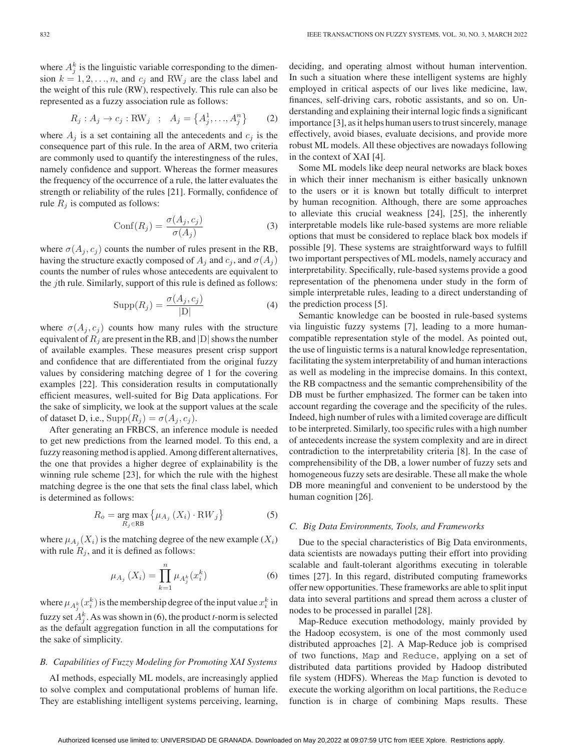where  $A_j^k$  is the linguistic variable corresponding to the dimension  $k = 1, 2, \ldots, n$ , and  $c_j$  and RW<sub>j</sub> are the class label and the weight of this rule (RW), respectively. This rule can also be represented as a fuzzy association rule as follows:

$$
R_j: A_j \to c_j: \text{RW}_j \quad ; \quad A_j = \left\{ A_j^1, \dots, A_j^n \right\} \tag{2}
$$

where  $A_j$  is a set containing all the antecedents and  $c_j$  is the consequence part of this rule. In the area of ARM, two criteria are commonly used to quantify the interestingness of the rules, namely confidence and support. Whereas the former measures the frequency of the occurrence of a rule, the latter evaluates the strength or reliability of the rules [21]. Formally, confidence of rule  $R_j$  is computed as follows:

$$
Conf(R_j) = \frac{\sigma(A_j, c_j)}{\sigma(A_j)}
$$
\n(3)

where  $\sigma(A_i, c_i)$  counts the number of rules present in the RB, having the structure exactly composed of  $A_i$  and  $c_j$ , and  $\sigma(A_i)$ counts the number of rules whose antecedents are equivalent to the jth rule. Similarly, support of this rule is defined as follows:

$$
Supp(R_j) = \frac{\sigma(A_j, c_j)}{|D|} \tag{4}
$$

where  $\sigma(A_j, c_j)$  counts how many rules with the structure equivalent of  $R_j$  are present in the RB, and  $|D|$  shows the number of available examples. These measures present crisp support and confidence that are differentiated from the original fuzzy values by considering matching degree of 1 for the covering examples [22]. This consideration results in computationally efficient measures, well-suited for Big Data applications. For the sake of simplicity, we look at the support values at the scale of dataset D, i.e.,  $\text{Supp}(R_i) = \sigma(A_i, c_i)$ .

After generating an FRBCS, an inference module is needed to get new predictions from the learned model. To this end, a fuzzy reasoning method is applied. Among different alternatives, the one that provides a higher degree of explainability is the winning rule scheme [23], for which the rule with the highest matching degree is the one that sets the final class label, which is determined as follows:

$$
R_o = \underset{R_j \in \text{RB}}{\text{arg max}} \left\{ \mu_{A_j} \left( X_i \right) \cdot \text{RW}_j \right\} \tag{5}
$$

where  $\mu_{A_i}(X_i)$  is the matching degree of the new example  $(X_i)$ with rule  $R_j$ , and it is defined as follows:

$$
\mu_{A_j}(X_i) = \prod_{k=1}^n \mu_{A_j^k}(x_i^k)
$$
\n(6)

where  $\mu_{A_j^k}(x_i^k)$  is the membership degree of the input value  $x_i^k$  in fuzzy set  $A_j^k$ . As was shown in (6), the product *t*-norm is selected as the default aggregation function in all the computations for the sake of simplicity.

## *B. Capabilities of Fuzzy Modeling for Promoting XAI Systems*

AI methods, especially ML models, are increasingly applied to solve complex and computational problems of human life. They are establishing intelligent systems perceiving, learning,

deciding, and operating almost without human intervention. In such a situation where these intelligent systems are highly employed in critical aspects of our lives like medicine, law, finances, self-driving cars, robotic assistants, and so on. Understanding and explaining their internal logic finds a significant importance [3], as it helps human users to trust sincerely, manage effectively, avoid biases, evaluate decisions, and provide more robust ML models. All these objectives are nowadays following in the context of XAI [4].

Some ML models like deep neural networks are black boxes in which their inner mechanism is either basically unknown to the users or it is known but totally difficult to interpret by human recognition. Although, there are some approaches to alleviate this crucial weakness [24], [25], the inherently interpretable models like rule-based systems are more reliable options that must be considered to replace black box models if possible [9]. These systems are straightforward ways to fulfill two important perspectives of ML models, namely accuracy and interpretability. Specifically, rule-based systems provide a good representation of the phenomena under study in the form of simple interpretable rules, leading to a direct understanding of the prediction process [5].

Semantic knowledge can be boosted in rule-based systems via linguistic fuzzy systems [7], leading to a more humancompatible representation style of the model. As pointed out, the use of linguistic terms is a natural knowledge representation, facilitating the system interpretability of and human interactions as well as modeling in the imprecise domains. In this context, the RB compactness and the semantic comprehensibility of the DB must be further emphasized. The former can be taken into account regarding the coverage and the specificity of the rules. Indeed, high number of rules with a limited coverage are difficult to be interpreted. Similarly, too specific rules with a high number of antecedents increase the system complexity and are in direct contradiction to the interpretability criteria [8]. In the case of comprehensibility of the DB, a lower number of fuzzy sets and homogeneous fuzzy sets are desirable. These all make the whole DB more meaningful and convenient to be understood by the human cognition [26].

## *C. Big Data Environments, Tools, and Frameworks*

Due to the special characteristics of Big Data environments, data scientists are nowadays putting their effort into providing scalable and fault-tolerant algorithms executing in tolerable times [27]. In this regard, distributed computing frameworks offer new opportunities. These frameworks are able to split input data into several partitions and spread them across a cluster of nodes to be processed in parallel [28].

Map-Reduce execution methodology, mainly provided by the Hadoop ecosystem, is one of the most commonly used distributed approaches [2]. A Map-Reduce job is comprised of two functions, Map and Reduce, applying on a set of distributed data partitions provided by Hadoop distributed file system (HDFS). Whereas the Map function is devoted to execute the working algorithm on local partitions, the Reduce function is in charge of combining Maps results. These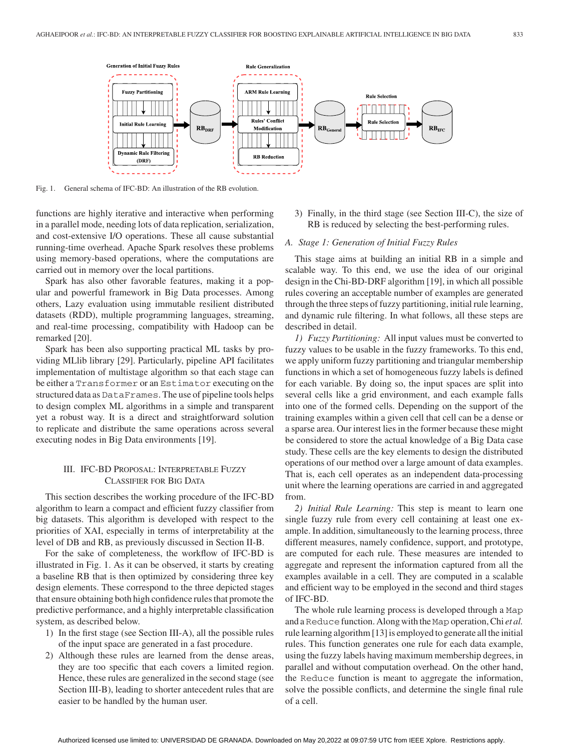

Fig. 1. General schema of IFC-BD: An illustration of the RB evolution.

functions are highly iterative and interactive when performing in a parallel mode, needing lots of data replication, serialization, and cost-extensive I/O operations. These all cause substantial running-time overhead. Apache Spark resolves these problems using memory-based operations, where the computations are carried out in memory over the local partitions.

Spark has also other favorable features, making it a popular and powerful framework in Big Data processes. Among others, Lazy evaluation using immutable resilient distributed datasets (RDD), multiple programming languages, streaming, and real-time processing, compatibility with Hadoop can be remarked [20].

Spark has been also supporting practical ML tasks by providing MLlib library [29]. Particularly, pipeline API facilitates implementation of multistage algorithm so that each stage can be either a Transformer or an Estimator executing on the structured data as DataFrames. The use of pipeline tools helps to design complex ML algorithms in a simple and transparent yet a robust way. It is a direct and straightforward solution to replicate and distribute the same operations across several executing nodes in Big Data environments [19].

## III. IFC-BD PROPOSAL: INTERPRETABLE FUZZY CLASSIFIER FOR BIG DATA

This section describes the working procedure of the IFC-BD algorithm to learn a compact and efficient fuzzy classifier from big datasets. This algorithm is developed with respect to the priorities of XAI, especially in terms of interpretability at the level of DB and RB, as previously discussed in Section II-B.

For the sake of completeness, the workflow of IFC-BD is illustrated in Fig. 1. As it can be observed, it starts by creating a baseline RB that is then optimized by considering three key design elements. These correspond to the three depicted stages that ensure obtaining both high confidence rules that promote the predictive performance, and a highly interpretable classification system, as described below.

- 1) In the first stage (see Section III-A), all the possible rules of the input space are generated in a fast procedure.
- 2) Although these rules are learned from the dense areas, they are too specific that each covers a limited region. Hence, these rules are generalized in the second stage (see Section III-B), leading to shorter antecedent rules that are easier to be handled by the human user.

3) Finally, in the third stage (see Section III-C), the size of RB is reduced by selecting the best-performing rules.

## *A. Stage 1: Generation of Initial Fuzzy Rules*

This stage aims at building an initial RB in a simple and scalable way. To this end, we use the idea of our original design in the Chi-BD-DRF algorithm [19], in which all possible rules covering an acceptable number of examples are generated through the three steps of fuzzy partitioning, initial rule learning, and dynamic rule filtering. In what follows, all these steps are described in detail.

*1) Fuzzy Partitioning:* All input values must be converted to fuzzy values to be usable in the fuzzy frameworks. To this end, we apply uniform fuzzy partitioning and triangular membership functions in which a set of homogeneous fuzzy labels is defined for each variable. By doing so, the input spaces are split into several cells like a grid environment, and each example falls into one of the formed cells. Depending on the support of the training examples within a given cell that cell can be a dense or a sparse area. Our interest lies in the former because these might be considered to store the actual knowledge of a Big Data case study. These cells are the key elements to design the distributed operations of our method over a large amount of data examples. That is, each cell operates as an independent data-processing unit where the learning operations are carried in and aggregated from.

*2) Initial Rule Learning:* This step is meant to learn one single fuzzy rule from every cell containing at least one example. In addition, simultaneously to the learning process, three different measures, namely confidence, support, and prototype, are computed for each rule. These measures are intended to aggregate and represent the information captured from all the examples available in a cell. They are computed in a scalable and efficient way to be employed in the second and third stages of IFC-BD.

The whole rule learning process is developed through a Map and a Reduce function. Along with the Map operation, Chi *et al.* rule learning algorithm [13] is employed to generate all the initial rules. This function generates one rule for each data example, using the fuzzy labels having maximum membership degrees, in parallel and without computation overhead. On the other hand, the Reduce function is meant to aggregate the information, solve the possible conflicts, and determine the single final rule of a cell.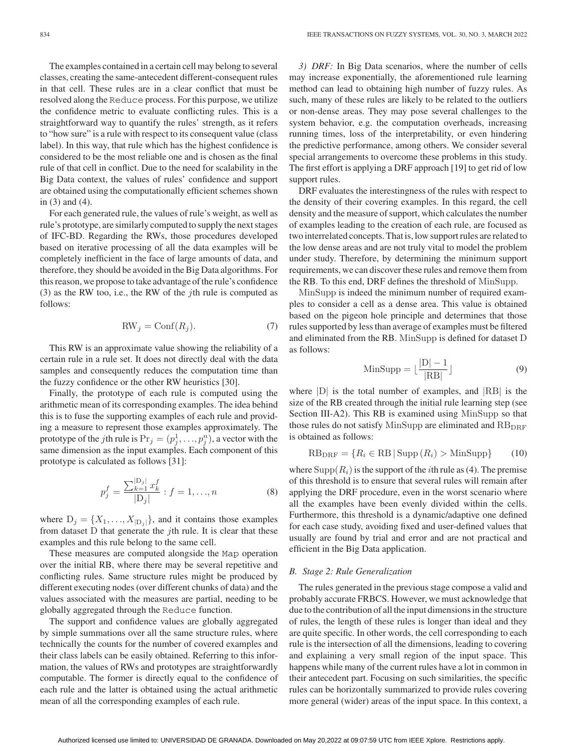The examples contained in a certain cell may belong to several classes, creating the same-antecedent different-consequent rules in that cell. These rules are in a clear conflict that must be resolved along the Reduce process. For this purpose, we utilize the confidence metric to evaluate conflicting rules. This is a straightforward way to quantify the rules' strength, as it refers to "how sure" is a rule with respect to its consequent value (class label). In this way, that rule which has the highest confidence is considered to be the most reliable one and is chosen as the final rule of that cell in conflict. Due to the need for scalability in the Big Data context, the values of rules' confidence and support are obtained using the computationally efficient schemes shown in (3) and (4).

For each generated rule, the values of rule's weight, as well as rule's prototype, are similarly computed to supply the next stages of IFC-BD. Regarding the RWs, those procedures developed based on iterative processing of all the data examples will be completely inefficient in the face of large amounts of data, and therefore, they should be avoided in the Big Data algorithms. For this reason, we propose to take advantage of the rule's confidence (3) as the RW too, i.e., the RW of the jth rule is computed as follows:

$$
RW_j = Conf(R_j). \tag{7}
$$

This RW is an approximate value showing the reliability of a certain rule in a rule set. It does not directly deal with the data samples and consequently reduces the computation time than the fuzzy confidence or the other RW heuristics [30].

Finally, the prototype of each rule is computed using the arithmetic mean of its corresponding examples. The idea behind this is to fuse the supporting examples of each rule and providing a measure to represent those examples approximately. The prototype of the *j*th rule is  $Pr_j = (p_j^1, \ldots, p_j^n)$ , a vector with the same dimension as the input examples. Each component of this prototype is calculated as follows [31]:

$$
p_j^f = \frac{\sum_{k=1}^{|D_j|} x_k^f}{|D_j|} : f = 1, ..., n
$$
 (8)

where  $D_j = \{X_1, \ldots, X_{|D_j|}\}$ , and it contains those examples from dataset  $D$  that generate the *j*th rule. It is clear that these examples and this rule belong to the same cell.

These measures are computed alongside the Map operation over the initial RB, where there may be several repetitive and conflicting rules. Same structure rules might be produced by different executing nodes (over different chunks of data) and the values associated with the measures are partial, needing to be globally aggregated through the Reduce function.

The support and confidence values are globally aggregated by simple summations over all the same structure rules, where technically the counts for the number of covered examples and their class labels can be easily obtained. Referring to this information, the values of RWs and prototypes are straightforwardly computable. The former is directly equal to the confidence of each rule and the latter is obtained using the actual arithmetic mean of all the corresponding examples of each rule.

*3) DRF:* In Big Data scenarios, where the number of cells may increase exponentially, the aforementioned rule learning method can lead to obtaining high number of fuzzy rules. As such, many of these rules are likely to be related to the outliers or non-dense areas. They may pose several challenges to the system behavior, e.g. the computation overheads, increasing running times, loss of the interpretability, or even hindering the predictive performance, among others. We consider several special arrangements to overcome these problems in this study. The first effort is applying a DRF approach [19] to get rid of low support rules.

DRF evaluates the interestingness of the rules with respect to the density of their covering examples. In this regard, the cell density and the measure of support, which calculates the number of examples leading to the creation of each rule, are focused as two interrelated concepts. That is, low support rules are related to the low dense areas and are not truly vital to model the problem under study. Therefore, by determining the minimum support requirements, we can discover these rules and remove them from the RB. To this end, DRF defines the threshold of MinSupp.

MinSupp is indeed the minimum number of required examples to consider a cell as a dense area. This value is obtained based on the pigeon hole principle and determines that those rules supported by less than average of examples must be filtered and eliminated from the RB. MinSupp is defined for dataset D as follows:

$$
\text{MinSupp} = \lfloor \frac{|D| - 1}{|RB|} \rfloor \tag{9}
$$

where  $|D|$  is the total number of examples, and  $|RB|$  is the size of the RB created through the initial rule learning step (see Section III-A2). This RB is examined using MinSupp so that those rules do not satisfy MinSupp are eliminated and  $RB<sub>DRF</sub>$ is obtained as follows:

$$
RBDRF = \{R_i \in RB \, | \, \text{Supp}(R_i) > \text{MinSupp}\}\tag{10}
$$

where  $\text{Supp}(R_i)$  is the support of the *i*th rule as (4). The premise of this threshold is to ensure that several rules will remain after applying the DRF procedure, even in the worst scenario where all the examples have been evenly divided within the cells. Furthermore, this threshold is a dynamic/adaptive one defined for each case study, avoiding fixed and user-defined values that usually are found by trial and error and are not practical and efficient in the Big Data application.

#### *B. Stage 2: Rule Generalization*

The rules generated in the previous stage compose a valid and probably accurate FRBCS. However, we must acknowledge that due to the contribution of all the input dimensions in the structure of rules, the length of these rules is longer than ideal and they are quite specific. In other words, the cell corresponding to each rule is the intersection of all the dimensions, leading to covering and explaining a very small region of the input space. This happens while many of the current rules have a lot in common in their antecedent part. Focusing on such similarities, the specific rules can be horizontally summarized to provide rules covering more general (wider) areas of the input space. In this context, a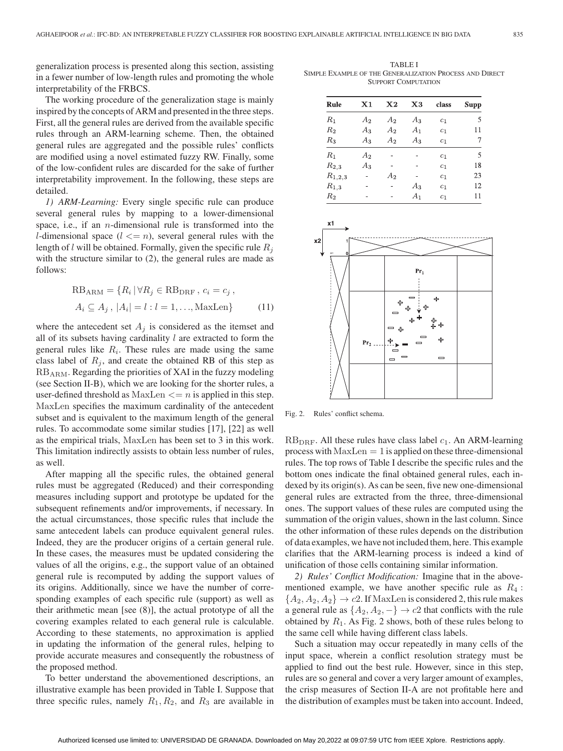generalization process is presented along this section, assisting in a fewer number of low-length rules and promoting the whole interpretability of the FRBCS.

The working procedure of the generalization stage is mainly inspired by the concepts of ARM and presented in the three steps. First, all the general rules are derived from the available specific rules through an ARM-learning scheme. Then, the obtained general rules are aggregated and the possible rules' conflicts are modified using a novel estimated fuzzy RW. Finally, some of the low-confident rules are discarded for the sake of further interpretability improvement. In the following, these steps are detailed.

*1) ARM-Learning:* Every single specific rule can produce several general rules by mapping to a lower-dimensional space, i.e., if an  $n$ -dimensional rule is transformed into the *l*-dimensional space  $(l \le n)$ , several general rules with the length of l will be obtained. Formally, given the specific rule R*<sup>j</sup>* with the structure similar to (2), the general rules are made as follows:

$$
RBARM = {Ri | \forall Rj \in RBDRF, ci = cj,Ai \subseteq Aj, |Ai| = l : l = 1, ..., MaxLen}
$$
 (11)

where the antecedent set  $A_j$  is considered as the itemset and all of its subsets having cardinality  $l$  are extracted to form the general rules like  $R_i$ . These rules are made using the same class label of  $R_j$ , and create the obtained RB of this step as  $RB_{ARM}$ . Regarding the priorities of XAI in the fuzzy modeling (see Section II-B), which we are looking for the shorter rules, a user-defined threshold as  $MaxLen \leq n$  is applied in this step. MaxLen specifies the maximum cardinality of the antecedent subset and is equivalent to the maximum length of the general rules. To accommodate some similar studies [17], [22] as well as the empirical trials, MaxLen has been set to 3 in this work. This limitation indirectly assists to obtain less number of rules, as well.

After mapping all the specific rules, the obtained general rules must be aggregated (Reduced) and their corresponding measures including support and prototype be updated for the subsequent refinements and/or improvements, if necessary. In the actual circumstances, those specific rules that include the same antecedent labels can produce equivalent general rules. Indeed, they are the producer origins of a certain general rule. In these cases, the measures must be updated considering the values of all the origins, e.g., the support value of an obtained general rule is recomputed by adding the support values of its origins. Additionally, since we have the number of corresponding examples of each specific rule (support) as well as their arithmetic mean [see (8)], the actual prototype of all the covering examples related to each general rule is calculable. According to these statements, no approximation is applied in updating the information of the general rules, helping to provide accurate measures and consequently the robustness of the proposed method.

To better understand the abovementioned descriptions, an illustrative example has been provided in Table I. Suppose that three specific rules, namely  $R_1, R_2$ , and  $R_3$  are available in

TABLE I SIMPLE EXAMPLE OF THE GENERALIZATION PROCESS AND DIRECT SUPPORT COMPUTATION

| Rule               | $\mathbf{X} 1$ | $\bf{X2}$ | X3    | class          | <b>Supp</b> |
|--------------------|----------------|-----------|-------|----------------|-------------|
| $R_{1}$            | A2             | $A_2$     | $A_3$ | c <sub>1</sub> | 5           |
| $\scriptstyle R_2$ | $A_3$          | A2        | $A_1$ | c <sub>1</sub> | 11          |
| $R_{3}$            | $A_3$          | A2        | Aз    | c <sub>1</sub> | 7           |
| $R_1$              | A2             |           |       | c <sub>1</sub> | 5           |
| $R_{2,3}$          | $A_3$          | ۰         |       | c <sub>1</sub> | 18          |
| $R_{1,2,3}$        |                | $A_2$     |       | c <sub>1</sub> | 23          |
| $R_{1,3}$          |                |           | $A_3$ | $c_1$          | 12          |
| $\scriptstyle R_2$ |                |           | A1    | c <sub>1</sub> | 11          |



Fig. 2. Rules' conflict schema.

 $RB<sub>DRF</sub>$ . All these rules have class label  $c<sub>1</sub>$ . An ARM-learning process with  $MaxLen = 1$  is applied on these three-dimensional rules. The top rows of Table I describe the specific rules and the bottom ones indicate the final obtained general rules, each indexed by its origin(s). As can be seen, five new one-dimensional general rules are extracted from the three, three-dimensional ones. The support values of these rules are computed using the summation of the origin values, shown in the last column. Since the other information of these rules depends on the distribution of data examples, we have not included them, here. This example clarifies that the ARM-learning process is indeed a kind of unification of those cells containing similar information.

*2) Rules' Conflict Modification:* Imagine that in the abovementioned example, we have another specific rule as  $R_4$ :  ${A_2, A_2, A_2} \rightarrow c2$ . If MaxLen is considered 2, this rule makes a general rule as  $\{A_2, A_2, -\} \rightarrow c2$  that conflicts with the rule obtained by  $R_1$ . As Fig. 2 shows, both of these rules belong to the same cell while having different class labels.

Such a situation may occur repeatedly in many cells of the input space, wherein a conflict resolution strategy must be applied to find out the best rule. However, since in this step, rules are so general and cover a very larger amount of examples, the crisp measures of Section II-A are not profitable here and the distribution of examples must be taken into account. Indeed,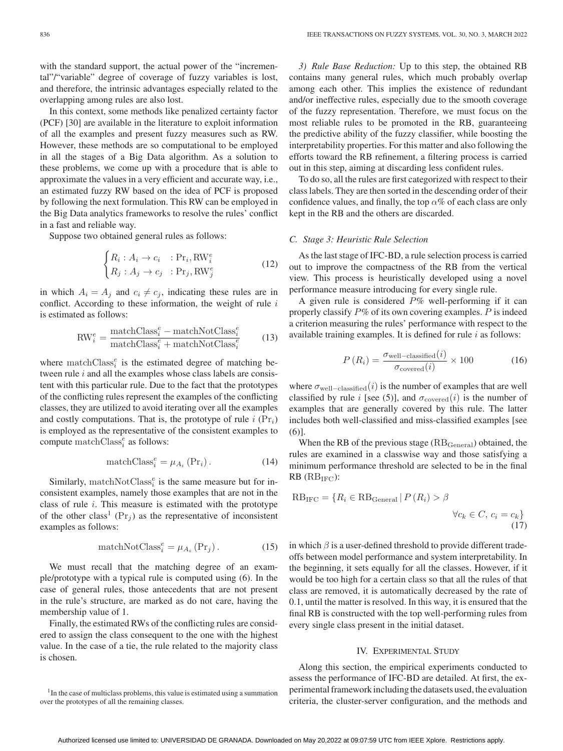with the standard support, the actual power of the "incremental"/"variable" degree of coverage of fuzzy variables is lost, and therefore, the intrinsic advantages especially related to the overlapping among rules are also lost.

In this context, some methods like penalized certainty factor (PCF) [30] are available in the literature to exploit information of all the examples and present fuzzy measures such as RW. However, these methods are so computational to be employed in all the stages of a Big Data algorithm. As a solution to these problems, we come up with a procedure that is able to approximate the values in a very efficient and accurate way, i.e., an estimated fuzzy RW based on the idea of PCF is proposed by following the next formulation. This RW can be employed in the Big Data analytics frameworks to resolve the rules' conflict in a fast and reliable way.

Suppose two obtained general rules as follows:

$$
\begin{cases} R_i: A_i \to c_i & : \text{Pr}_i, \text{RW}_i^e \\ R_j: A_j \to c_j & : \text{Pr}_j, \text{RW}_j^e \end{cases}
$$
 (12)

in which  $A_i = A_j$  and  $c_i \neq c_j$ , indicating these rules are in conflict. According to these information, the weight of rule  $i$ is estimated as follows:

$$
\text{RW}^e_i = \frac{\text{matchClass}^e_i - \text{matchNotClass}^e_i}{\text{matchClass}^e_i + \text{matchNotClass}^e_i} \tag{13}
$$

where  $\text{matchClass}_{i}^{e}$  is the estimated degree of matching between rule  $i$  and all the examples whose class labels are consistent with this particular rule. Due to the fact that the prototypes of the conflicting rules represent the examples of the conflicting classes, they are utilized to avoid iterating over all the examples and costly computations. That is, the prototype of rule  $i$  ( $Pr_i$ ) is employed as the representative of the consistent examples to compute matchClass*<sup>e</sup> <sup>i</sup>* as follows:

$$
\text{matchClass}_{i}^{e} = \mu_{A_i} \left( \text{Pr}_i \right). \tag{14}
$$

Similarly, match $NotClass_i^e$  is the same measure but for inconsistent examples, namely those examples that are not in the class of rule i. This measure is estimated with the prototype of the other class<sup>1</sup> (Pr<sub>j</sub>) as the representative of inconsistent examples as follows:

$$
matchNotClass_i^e = \mu_{A_i} (Pr_j).
$$
 (15)

We must recall that the matching degree of an example/prototype with a typical rule is computed using (6). In the case of general rules, those antecedents that are not present in the rule's structure, are marked as do not care, having the membership value of 1.

Finally, the estimated RWs of the conflicting rules are considered to assign the class consequent to the one with the highest value. In the case of a tie, the rule related to the majority class is chosen.

*3) Rule Base Reduction:* Up to this step, the obtained RB contains many general rules, which much probably overlap among each other. This implies the existence of redundant and/or ineffective rules, especially due to the smooth coverage of the fuzzy representation. Therefore, we must focus on the most reliable rules to be promoted in the RB, guaranteeing the predictive ability of the fuzzy classifier, while boosting the interpretability properties. For this matter and also following the efforts toward the RB refinement, a filtering process is carried out in this step, aiming at discarding less confident rules.

To do so, all the rules are first categorized with respect to their class labels. They are then sorted in the descending order of their confidence values, and finally, the top  $\alpha$ % of each class are only kept in the RB and the others are discarded.

#### *C. Stage 3: Heuristic Rule Selection*

As the last stage of IFC-BD, a rule selection process is carried out to improve the compactness of the RB from the vertical view. This process is heuristically developed using a novel performance measure introducing for every single rule.

A given rule is considered  $P\%$  well-performing if it can properly classify  $P\%$  of its own covering examples. P is indeed a criterion measuring the rules' performance with respect to the available training examples. It is defined for rule  $i$  as follows:

$$
P(R_i) = \frac{\sigma_{\text{well-classified}}(i)}{\sigma_{\text{covered}}(i)} \times 100 \tag{16}
$$

where  $\sigma_{\text{well-classified}}(i)$  is the number of examples that are well classified by rule i [see (5)], and  $\sigma_{\text{covered}}(i)$  is the number of examples that are generally covered by this rule. The latter includes both well-classified and miss-classified examples [see (6)].

When the RB of the previous stage  $(RB_{\text{General}})$  obtained, the rules are examined in a classwise way and those satisfying a minimum performance threshold are selected to be in the final  $RB$  ( $RB<sub>IFC</sub>$ ):

$$
RB_{IFC} = \{R_i \in RB_{\text{General}} \mid P(R_i) > \beta
$$
  

$$
\forall c_k \in C, c_i = c_k\}
$$
  
(17)

in which  $\beta$  is a user-defined threshold to provide different tradeoffs between model performance and system interpretability. In the beginning, it sets equally for all the classes. However, if it would be too high for a certain class so that all the rules of that class are removed, it is automatically decreased by the rate of 0.1, until the matter is resolved. In this way, it is ensured that the final RB is constructed with the top well-performing rules from every single class present in the initial dataset.

## IV. EXPERIMENTAL STUDY

Along this section, the empirical experiments conducted to assess the performance of IFC-BD are detailed. At first, the experimental framework including the datasets used, the evaluation criteria, the cluster-server configuration, and the methods and

<sup>&</sup>lt;sup>1</sup>In the case of multiclass problems, this value is estimated using a summation over the prototypes of all the remaining classes.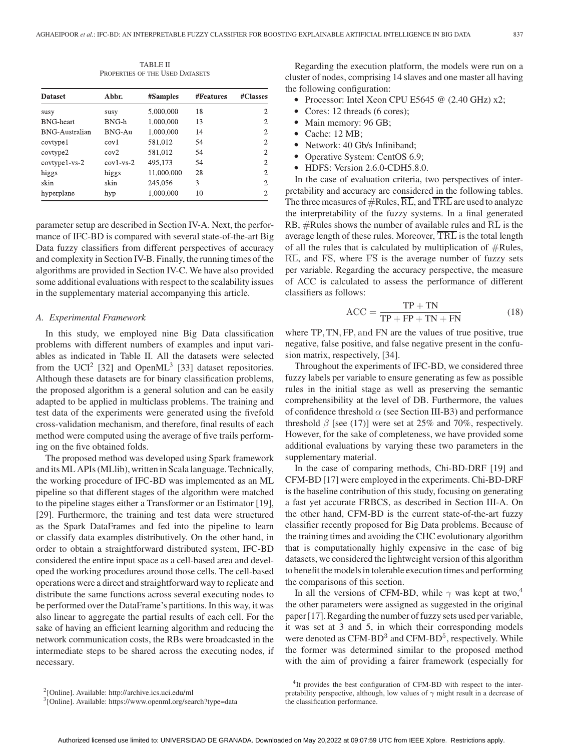TABLE II PROPERTIES OF THE USED DATASETS

| <b>Dataset</b>   | Abbr.           | #Samples   | <b>#Features</b> | #Classes       |  |
|------------------|-----------------|------------|------------------|----------------|--|
| susy             | susy            | 5,000,000  | 18               | 2              |  |
| <b>BNG-heart</b> | BNG-h           | 1,000,000  | 13               | 2              |  |
| BNG-Australian   | $BNG-AH$        | 1,000,000  | 14               | $\overline{c}$ |  |
| covtypel         | cov1            | 581,012    | 54               | 2              |  |
| covtype2         | cov2            | 581,012    | 54               | $\overline{c}$ |  |
| $covtype1-vs-2$  | $cov1 - vs - 2$ | 495.173    | 54               | $\mathfrak{D}$ |  |
| higgs            | higgs           | 11,000,000 | 28               | 2              |  |
| skin             | skin            | 245,056    | 3                | 2              |  |
| hyperplane       | hyp             | 1,000,000  | 10               | 2              |  |

parameter setup are described in Section IV-A. Next, the performance of IFC-BD is compared with several state-of-the-art Big Data fuzzy classifiers from different perspectives of accuracy and complexity in Section IV-B. Finally, the running times of the algorithms are provided in Section IV-C. We have also provided some additional evaluations with respect to the scalability issues in the supplementary material accompanying this article.

## *A. Experimental Framework*

In this study, we employed nine Big Data classification problems with different numbers of examples and input variables as indicated in Table II. All the datasets were selected from the UCI<sup>2</sup> [32] and OpenML<sup>3</sup> [33] dataset repositories. Although these datasets are for binary classification problems, the proposed algorithm is a general solution and can be easily adapted to be applied in multiclass problems. The training and test data of the experiments were generated using the fivefold cross-validation mechanism, and therefore, final results of each method were computed using the average of five trails performing on the five obtained folds.

The proposed method was developed using Spark framework and its ML APIs (MLlib), written in Scala language. Technically, the working procedure of IFC-BD was implemented as an ML pipeline so that different stages of the algorithm were matched to the pipeline stages either a Transformer or an Estimator [19], [29]. Furthermore, the training and test data were structured as the Spark DataFrames and fed into the pipeline to learn or classify data examples distributively. On the other hand, in order to obtain a straightforward distributed system, IFC-BD considered the entire input space as a cell-based area and developed the working procedures around those cells. The cell-based operations were a direct and straightforward way to replicate and distribute the same functions across several executing nodes to be performed over the DataFrame's partitions. In this way, it was also linear to aggregate the partial results of each cell. For the sake of having an efficient learning algorithm and reducing the network communication costs, the RBs were broadcasted in the intermediate steps to be shared across the executing nodes, if necessary.

Regarding the execution platform, the models were run on a cluster of nodes, comprising 14 slaves and one master all having the following configuration:

- Processor: Intel Xeon CPU E5645 @ (2.40 GHz) x2;
- Cores: 12 threads (6 cores);
- Main memory: 96 GB;
- Cache: 12 MB;
- Network: 40 Gb/s Infiniband;
- Operative System: CentOS 6.9;
- HDFS: Version 2.6.0-CDH5.8.0.

In the case of evaluation criteria, two perspectives of interpretability and accuracy are considered in the following tables. The three measures of  $\#\text{Rules}, \overline{\text{RL}}$ , and  $\overline{\text{TRL}}$  are used to analyze the interpretability of the fuzzy systems. In a final generated RB, #Rules shows the number of available rules and RL is the average length of these rules. Moreover,  $\overline{\text{TRL}}$  is the total length of all the rules that is calculated by multiplication of  $\#Rules$ ,  $\overline{RL}$ , and  $\overline{FS}$ , where  $\overline{FS}$  is the average number of fuzzy sets per variable. Regarding the accuracy perspective, the measure of ACC is calculated to assess the performance of different classifiers as follows:

$$
ACC = \frac{TP + TN}{TP + FP + TN + FN}
$$
 (18)

where TP, TN, FP, and FN are the values of true positive, true negative, false positive, and false negative present in the confusion matrix, respectively, [34].

Throughout the experiments of IFC-BD, we considered three fuzzy labels per variable to ensure generating as few as possible rules in the initial stage as well as preserving the semantic comprehensibility at the level of DB. Furthermore, the values of confidence threshold  $\alpha$  (see Section III-B3) and performance threshold  $\beta$  [see (17)] were set at 25% and 70%, respectively. However, for the sake of completeness, we have provided some additional evaluations by varying these two parameters in the supplementary material.

In the case of comparing methods, Chi-BD-DRF [19] and CFM-BD [17] were employed in the experiments. Chi-BD-DRF is the baseline contribution of this study, focusing on generating a fast yet accurate FRBCS, as described in Section III-A. On the other hand, CFM-BD is the current state-of-the-art fuzzy classifier recently proposed for Big Data problems. Because of the training times and avoiding the CHC evolutionary algorithm that is computationally highly expensive in the case of big datasets, we considered the lightweight version of this algorithm to benefit the models in tolerable execution times and performing the comparisons of this section.

In all the versions of CFM-BD, while  $\gamma$  was kept at two,<sup>4</sup> the other parameters were assigned as suggested in the original paper [17]. Regarding the number of fuzzy sets used per variable, it was set at 3 and 5, in which their corresponding models were denoted as  $CFM-BD<sup>3</sup>$  and  $CFM-BD<sup>5</sup>$ , respectively. While the former was determined similar to the proposed method with the aim of providing a fairer framework (especially for

[<sup>2\[</sup>Online\]. Available: http://archive.ics.uci.edu/ml]([Online]. ignorespaces Available: ignorespaces http://archive.ics.uci.edu/ml)

<sup>&</sup>lt;sup>3</sup>[Online]. Available: https://www.openml.org/search?type=data

<sup>&</sup>lt;sup>4</sup>It provides the best configuration of CFM-BD with respect to the interpretability perspective, although, low values of  $\gamma$  might result in a decrease of the classification performance.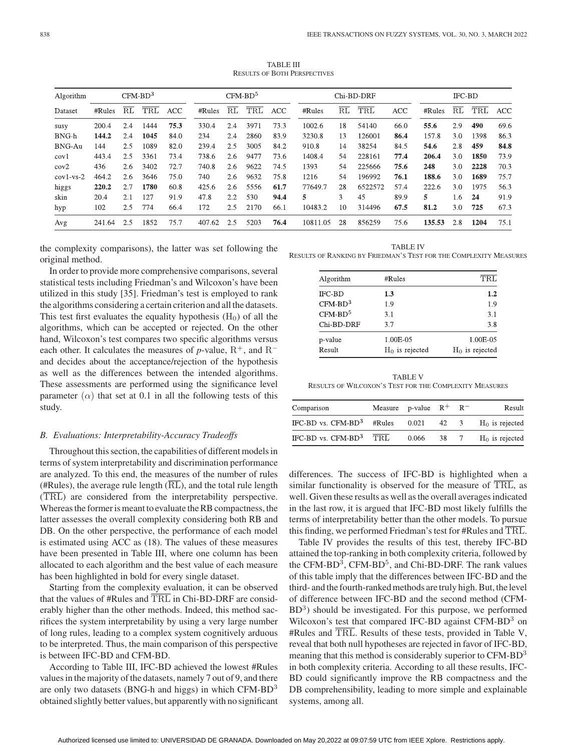| Algorithm     |        |     | $CFM-BD3$ |            |        |     | $CFM-BD5$ |            |          |    | Chi-BD-DRF |            |        | <b>IFC-BD</b> |      |            |
|---------------|--------|-----|-----------|------------|--------|-----|-----------|------------|----------|----|------------|------------|--------|---------------|------|------------|
| Dataset       | #Rules | RL  | TRL       | <b>ACC</b> | #Rules | RL  | TRL       | <b>ACC</b> | #Rules   | RL | TRL        | <b>ACC</b> | #Rules | RL            | TRL  | <b>ACC</b> |
| susy          | 200.4  | 2.4 | 1444      | 75.3       | 330.4  | 2.4 | 3971      | 73.3       | 1002.6   | 18 | 54140      | 66.0       | 55.6   | 2.9           | 490  | 69.6       |
| BNG-h         | 144.2  | 2.4 | 1045      | 84.0       | 234    | 2.4 | 2860      | 83.9       | 3230.8   | 13 | 126001     | 86.4       | 157.8  | 3.0           | 1398 | 86.3       |
| <b>BNG-Au</b> | 144    | 2.5 | 1089      | 82.0       | 239.4  | 2.5 | 3005      | 84.2       | 910.8    | 14 | 38254      | 84.5       | 54.6   | 2.8           | 459  | 84.8       |
| cov1          | 443.4  | 2.5 | 3361      | 73.4       | 738.6  | 2.6 | 9477      | 73.6       | 1408.4   | 54 | 228161     | 77.4       | 206.4  | 3.0           | 1850 | 73.9       |
| cov2          | 436    | 2.6 | 3402      | 72.7       | 740.8  | 2.6 | 9622      | 74.5       | 1393     | 54 | 225666     | 75.6       | 248    | 3.0           | 2228 | 70.3       |
| $cov1$ -vs-2  | 464.2  | 2.6 | 3646      | 75.0       | 740    | 2.6 | 9632      | 75.8       | 1216     | 54 | 196992     | 76.1       | 188.6  | 3.0           | 1689 | 75.7       |
| higgs         | 220.2  | 2.7 | 1780      | 60.8       | 425.6  | 2.6 | 5556      | 61.7       | 77649.7  | 28 | 6522572    | 57.4       | 222.6  | 3.0           | 1975 | 56.3       |
| skin          | 20.4   | 2.1 | 127       | 91.9       | 47.8   | 2.2 | 530       | 94.4       | 5.       | 3  | 45         | 89.9       | 5.     | l.6           | 24   | 91.9       |
| hyp           | 102    | 2.5 | 774       | 66.4       | 172    | 2.5 | 2170      | 66.1       | 10483.2  | 10 | 314496     | 67.5       | 81.2   | 3.0           | 725  | 67.3       |
| Avg           | 241.64 | 2.5 | 1852      | 75.7       | 407.62 | 2.5 | 5203      | 76.4       | 10811.05 | 28 | 856259     | 75.6       | 135.53 | 2.8           | 1204 | 75.1       |

TABLE III RESULTS OF BOTH PERSPECTIVES

the complexity comparisons), the latter was set following the original method.

In order to provide more comprehensive comparisons, several statistical tests including Friedman's and Wilcoxon's have been utilized in this study [35]. Friedman's test is employed to rank the algorithms considering a certain criterion and all the datasets. This test first evaluates the equality hypothesis  $(H_0)$  of all the algorithms, which can be accepted or rejected. On the other hand, Wilcoxon's test compares two specific algorithms versus each other. It calculates the measures of *p*-value,  $R^+$ , and  $R^$ and decides about the acceptance/rejection of the hypothesis as well as the differences between the intended algorithms. These assessments are performed using the significance level parameter  $(\alpha)$  that set at 0.1 in all the following tests of this study.

#### *B. Evaluations: Interpretability-Accuracy Tradeoffs*

Throughout this section, the capabilities of different models in terms of system interpretability and discrimination performance are analyzed. To this end, the measures of the number of rules (#Rules), the average rule length  $(\overline{RL})$ , and the total rule length (TRL) are considered from the interpretability perspective. Whereas the former is meant to evaluate the RB compactness, the latter assesses the overall complexity considering both RB and DB. On the other perspective, the performance of each model is estimated using ACC as (18). The values of these measures have been presented in Table III, where one column has been allocated to each algorithm and the best value of each measure has been highlighted in bold for every single dataset.

Starting from the complexity evaluation, it can be observed that the values of #Rules and  $\overline{\text{TRL}}$  in Chi-BD-DRF are considerably higher than the other methods. Indeed, this method sacrifices the system interpretability by using a very large number of long rules, leading to a complex system cognitively arduous to be interpreted. Thus, the main comparison of this perspective is between IFC-BD and CFM-BD.

According to Table III, IFC-BD achieved the lowest #Rules values in the majority of the datasets, namely 7 out of 9, and there are only two datasets (BNG-h and higgs) in which  $CFM-BD<sup>3</sup>$ obtained slightly better values, but apparently with no significant

TABLE IV RESULTS OF RANKING BY FRIEDMAN'S TEST FOR THE COMPLEXITY MEASURES

| Algorithm     | #Rules            | TRL               |
|---------------|-------------------|-------------------|
| <b>IFC-BD</b> | 1.3               | 1.2               |
| $CFM-BD3$     | 1.9               | 1.9               |
| $CFM-BD5$     | 3.1               | 3.1               |
| Chi-BD-DRF    | 3.7               | 3.8               |
| p-value       | 1.00E-05          | 1.00E-05          |
| Result        | $H_0$ is rejected | $H_0$ is rejected |

TABLE V RESULTS OF WILCOXON'S TEST FOR THE COMPLEXITY MEASURES

| Comparison                        | Measure p-value $R^+$ $R^-$ |      |             | Result            |
|-----------------------------------|-----------------------------|------|-------------|-------------------|
| IFC-BD vs. $CFM-BD3$ #Rules 0.021 |                             | 42 3 |             | $H_0$ is rejected |
| IFC-BD vs. $CFM-BD3$ TRL          | 0.066                       | 38   | $7^{\circ}$ | $H_0$ is rejected |

differences. The success of IFC-BD is highlighted when a similar functionality is observed for the measure of  $\overline{\text{TRL}}$ , as well. Given these results as well as the overall averages indicated in the last row, it is argued that IFC-BD most likely fulfills the terms of interpretability better than the other models. To pursue this finding, we performed Friedman's test for #Rules and TRL.

Table IV provides the results of this test, thereby IFC-BD attained the top-ranking in both complexity criteria, followed by the CFM-BD<sup>3</sup>, CFM-BD<sup>5</sup>, and Chi-BD-DRF. The rank values of this table imply that the differences between IFC-BD and the third- and the fourth-ranked methods are truly high. But, the level of difference between IFC-BD and the second method (CFM- $BD<sup>3</sup>$ ) should be investigated. For this purpose, we performed Wilcoxon's test that compared IFC-BD against CFM-BD<sup>3</sup> on #Rules and TRL. Results of these tests, provided in Table V, reveal that both null hypotheses are rejected in favor of IFC-BD, meaning that this method is considerably superior to CFM-BD<sup>3</sup> in both complexity criteria. According to all these results, IFC-BD could significantly improve the RB compactness and the DB comprehensibility, leading to more simple and explainable systems, among all.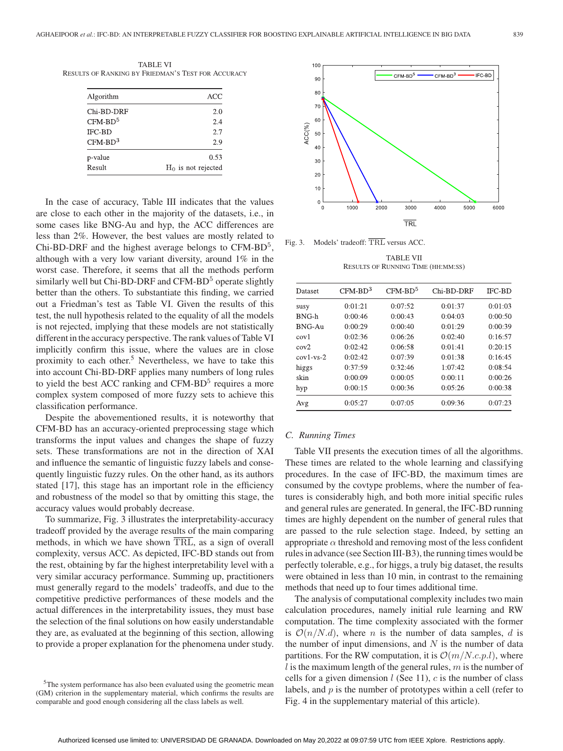TABLE VI RESULTS OF RANKING BY FRIEDMAN'S TEST FOR ACCURACY

| Algorithm     | ACC                   |
|---------------|-----------------------|
| Chi-BD-DRF    | 2.0                   |
| $CFM-BD5$     | 2.4                   |
| <b>IFC-BD</b> | 2.7                   |
| $CFM-BD3$     | 2.9                   |
| p-value       | 0.53                  |
| Result        | $H_0$ is not rejected |

In the case of accuracy, Table III indicates that the values are close to each other in the majority of the datasets, i.e., in some cases like BNG-Au and hyp, the ACC differences are less than 2%. However, the best values are mostly related to Chi-BD-DRF and the highest average belongs to  $CFM-BD<sup>5</sup>$ , although with a very low variant diversity, around 1% in the worst case. Therefore, it seems that all the methods perform similarly well but Chi-BD-DRF and CFM-BD<sup>5</sup> operate slightly better than the others. To substantiate this finding, we carried out a Friedman's test as Table VI. Given the results of this test, the null hypothesis related to the equality of all the models is not rejected, implying that these models are not statistically different in the accuracy perspective. The rank values of Table VI implicitly confirm this issue, where the values are in close proximity to each other.<sup>5</sup> Nevertheless, we have to take this into account Chi-BD-DRF applies many numbers of long rules to yield the best ACC ranking and  $CFM-BD<sup>5</sup>$  requires a more complex system composed of more fuzzy sets to achieve this classification performance.

Despite the abovementioned results, it is noteworthy that CFM-BD has an accuracy-oriented preprocessing stage which transforms the input values and changes the shape of fuzzy sets. These transformations are not in the direction of XAI and influence the semantic of linguistic fuzzy labels and consequently linguistic fuzzy rules. On the other hand, as its authors stated [17], this stage has an important role in the efficiency and robustness of the model so that by omitting this stage, the accuracy values would probably decrease.

To summarize, Fig. 3 illustrates the interpretability-accuracy tradeoff provided by the average results of the main comparing methods, in which we have shown TRL, as a sign of overall complexity, versus ACC. As depicted, IFC-BD stands out from the rest, obtaining by far the highest interpretability level with a very similar accuracy performance. Summing up, practitioners must generally regard to the models' tradeoffs, and due to the competitive predictive performances of these models and the actual differences in the interpretability issues, they must base the selection of the final solutions on how easily understandable they are, as evaluated at the beginning of this section, allowing to provide a proper explanation for the phenomena under study.



Fig. 3. Models' tradeoff: TRL versus ACC.

TABLE VII RESULTS OF RUNNING TIME (HH:MM:SS)

| Dataset      | $CFM-BD3$ | $CFM-BD5$ | Chi-BD-DRF | <b>IFC-BD</b> |
|--------------|-----------|-----------|------------|---------------|
| susy         | 0:01:21   | 0:07:52   | 0:01:37    | 0:01:03       |
| BNG-h        | 0:00:46   | 0:00:43   | 0:04:03    | 0:00:50       |
| BNG-Au       | 0:00:29   | 0:00:40   | 0:01:29    | 0:00:39       |
| cov1         | 0:02:36   | 0:06:26   | 0:02:40    | 0:16:57       |
| cov2         | 0:02:42   | 0:06:58   | 0:01:41    | 0:20:15       |
| $cov1$ -vs-2 | 0:02:42   | 0:07:39   | 0:01:38    | 0:16:45       |
| higgs        | 0:37:59   | 0:32:46   | 1:07:42    | 0:08:54       |
| skin         | 0:00:09   | 0:00:05   | 0:00:11    | 0:00:26       |
| hyp          | 0:00:15   | 0:00:36   | 0:05:26    | 0:00:38       |
| Avg          | 0:05:27   | 0:07:05   | 0:09:36    | 0:07:23       |

## *C. Running Times*

Table VII presents the execution times of all the algorithms. These times are related to the whole learning and classifying procedures. In the case of IFC-BD, the maximum times are consumed by the covtype problems, where the number of features is considerably high, and both more initial specific rules and general rules are generated. In general, the IFC-BD running times are highly dependent on the number of general rules that are passed to the rule selection stage. Indeed, by setting an appropriate  $\alpha$  threshold and removing most of the less confident rules in advance (see Section III-B3), the running times would be perfectly tolerable, e.g., for higgs, a truly big dataset, the results were obtained in less than 10 min, in contrast to the remaining methods that need up to four times additional time.

The analysis of computational complexity includes two main calculation procedures, namely initial rule learning and RW computation. The time complexity associated with the former is  $\mathcal{O}(n/N.d)$ , where *n* is the number of data samples, *d* is the number of input dimensions, and  $N$  is the number of data partitions. For the RW computation, it is  $\mathcal{O}(m/N.c.p.l)$ , where  $l$  is the maximum length of the general rules,  $m$  is the number of cells for a given dimension  $l$  (See 11),  $c$  is the number of class labels, and  $p$  is the number of prototypes within a cell (refer to Fig. 4 in the supplementary material of this article).

<sup>5</sup>The system performance has also been evaluated using the geometric mean (GM) criterion in the supplementary material, which confirms the results are comparable and good enough considering all the class labels as well.